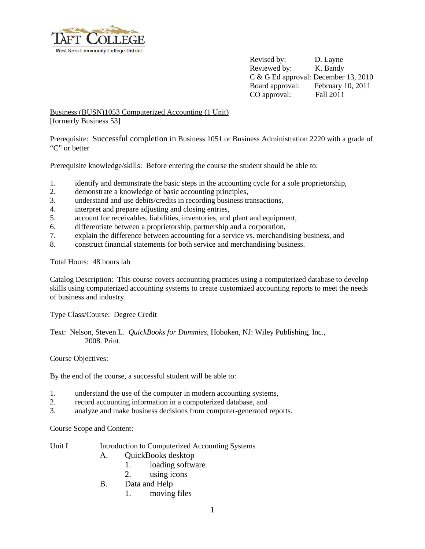

Revised by: D. Layne<br>Reviewed by: K. Bandy Reviewed by: C & G Ed approval: December 13, 2010 Board approval: February 10, 2011 CO approval: Fall 2011

Business (BUSN)1053 Computerized Accounting (1 Unit) [formerly Business 53]

Prerequisite: Successful completion in Business 1051 or Business Administration 2220 with a grade of "C" or better

Prerequisite knowledge/skills: Before entering the course the student should be able to:

- 1. identify and demonstrate the basic steps in the accounting cycle for a sole proprietorship,
- 2. demonstrate a knowledge of basic accounting principles,
- 3. understand and use debits/credits in recording business transactions,
- 4. interpret and prepare adjusting and closing entries,
- 5. account for receivables, liabilities, inventories, and plant and equipment,
- 6. differentiate between a proprietorship, partnership and a corporation,
- 7. explain the difference between accounting for a service vs. merchandising business, and
- 8. construct financial statements for both service and merchandising business.

Total Hours: 48 hours lab

Catalog Description: This course covers accounting practices using a computerized database to develop skills using computerized accounting systems to create customized accounting reports to meet the needs of business and industry.

Type Class/Course: Degree Credit

Text: Nelson, Steven L. *QuickBooks for Dummies.* Hoboken, NJ: Wiley Publishing, Inc., 2008. Print.

#### Course Objectives:

By the end of the course, a successful student will be able to:

- 1. understand the use of the computer in modern accounting systems,
- 2. record accounting information in a computerized database, and
- 3. analyze and make business decisions from computer**-**generated reports.

Course Scope and Content:

#### Unit I Introduction to Computerized Accounting Systems

- A. QuickBooks desktop
	- 1. loading software
		- 2. using icons
- B. Data and Help
	- 1. moving files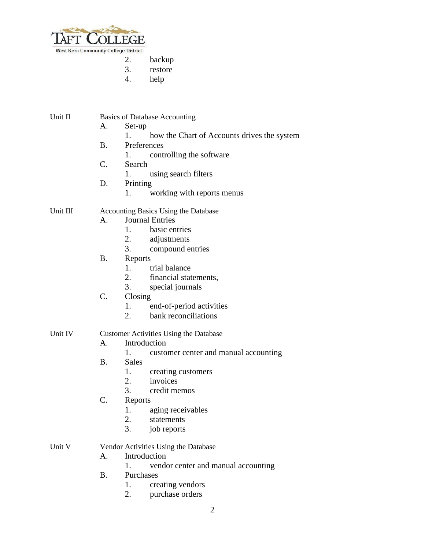

- 2. backup
- 3. restore
- 4. help
- Unit II Basics of Database Accounting
	- A. Set-up
		- 1. how the Chart of Accounts drives the system
	- B. Preferences
		- 1. controlling the software
	- C. Search
		- 1. using search filters
	- D. Printing
		- 1. working with reports menus

### Unit III Accounting Basics Using the Database

- A. Journal Entries
	- 1. basic entries
	- 2. adjustments
	- 3. compound entries
- B. Reports
	- 1. trial balance
	- 2. financial statements,
	- 3. special journals
- C. Closing
	- 1. end-of-period activities
	- 2. bank reconciliations

### Unit IV Customer Activities Using the Database

- A. Introduction
	- 1. customer center and manual accounting
- B. Sales
	- 1. creating customers
	- 2. invoices
	- 3. credit memos
- C. Reports
	- 1. aging receivables
	- 2. statements
	- 3. job reports

## Unit V Vendor Activities Using the Database

- A. Introduction
	- 1. vendor center and manual accounting
- B. Purchases
	- 1. creating vendors
	- 2. purchase orders